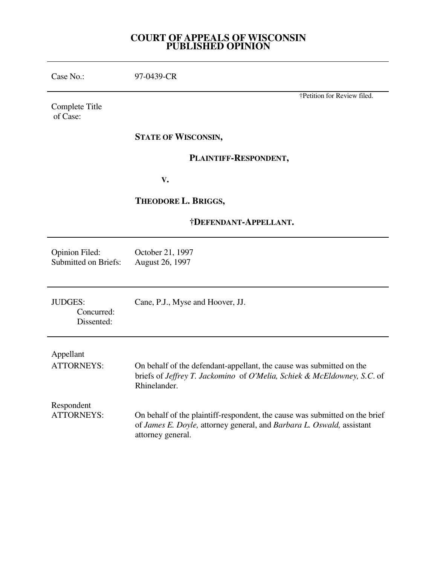## **COURT OF APPEALS OF WISCONSIN PUBLISHED OPINION**

 $\overline{\phantom{0}}$ 

÷

| Case No.:                                            | 97-0439-CR                                                                                                                                                                |
|------------------------------------------------------|---------------------------------------------------------------------------------------------------------------------------------------------------------------------------|
| Complete Title<br>of Case:                           | †Petition for Review filed.                                                                                                                                               |
|                                                      | <b>STATE OF WISCONSIN,</b>                                                                                                                                                |
|                                                      | PLAINTIFF-RESPONDENT,                                                                                                                                                     |
|                                                      | V.                                                                                                                                                                        |
|                                                      | THEODORE L. BRIGGS,                                                                                                                                                       |
|                                                      | †DEFENDANT-APPELLANT.                                                                                                                                                     |
| <b>Opinion Filed:</b><br><b>Submitted on Briefs:</b> | October 21, 1997<br>August 26, 1997                                                                                                                                       |
| <b>JUDGES:</b><br>Concurred:<br>Dissented:           | Cane, P.J., Myse and Hoover, JJ.                                                                                                                                          |
| Appellant<br><b>ATTORNEYS:</b>                       | On behalf of the defendant-appellant, the cause was submitted on the<br>briefs of Jeffrey T. Jackomino of O'Melia, Schiek & McEldowney, S.C. of<br>Rhinelander.           |
| Respondent<br><b>ATTORNEYS:</b>                      | On behalf of the plaintiff-respondent, the cause was submitted on the brief<br>of James E. Doyle, attorney general, and Barbara L. Oswald, assistant<br>attorney general. |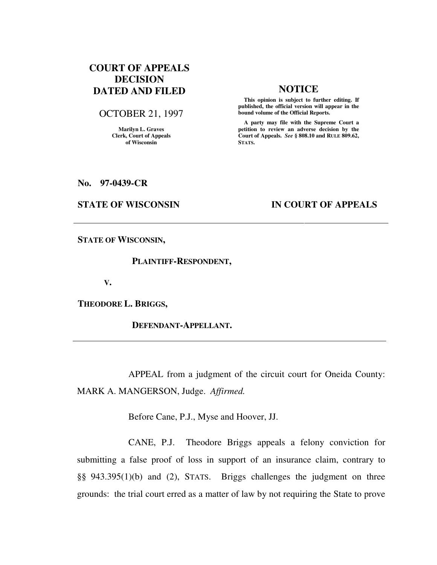# **COURT OF APPEALS DECISION DATED AND FILED NOTICE**

OCTOBER 21, 1997

**Marilyn L. Graves Clerk, Court of Appeals of Wisconsin** 

 **This opinion is subject to further editing. If published, the official version will appear in the bound volume of the Official Reports.**

 **A party may file with the Supreme Court a petition to review an adverse decision by the Court of Appeals.** *See* **§ 808.10 and RULE 809.62, STATS.** 

**No. 97-0439-CR** 

### **STATE OF WISCONSIN IN COURT OF APPEALS**

**STATE OF WISCONSIN,** 

 **PLAINTIFF-RESPONDENT,** 

 **V.** 

**THEODORE L. BRIGGS,** 

 **DEFENDANT-APPELLANT.** 

 APPEAL from a judgment of the circuit court for Oneida County: MARK A. MANGERSON, Judge. *Affirmed.*

Before Cane, P.J., Myse and Hoover, JJ.

 CANE, P.J. Theodore Briggs appeals a felony conviction for submitting a false proof of loss in support of an insurance claim, contrary to §§ 943.395(1)(b) and (2), STATS. Briggs challenges the judgment on three grounds: the trial court erred as a matter of law by not requiring the State to prove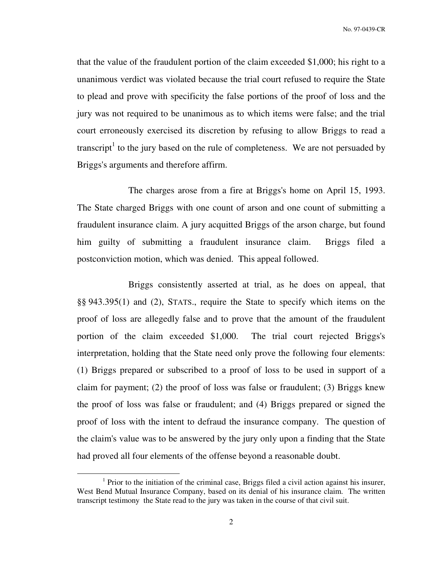that the value of the fraudulent portion of the claim exceeded \$1,000; his right to a unanimous verdict was violated because the trial court refused to require the State to plead and prove with specificity the false portions of the proof of loss and the jury was not required to be unanimous as to which items were false; and the trial court erroneously exercised its discretion by refusing to allow Briggs to read a transcript<sup>1</sup> to the jury based on the rule of completeness. We are not persuaded by Briggs's arguments and therefore affirm.

 The charges arose from a fire at Briggs's home on April 15, 1993. The State charged Briggs with one count of arson and one count of submitting a fraudulent insurance claim. A jury acquitted Briggs of the arson charge, but found him guilty of submitting a fraudulent insurance claim. Briggs filed a postconviction motion, which was denied. This appeal followed.

 Briggs consistently asserted at trial, as he does on appeal, that §§ 943.395(1) and (2), STATS., require the State to specify which items on the proof of loss are allegedly false and to prove that the amount of the fraudulent portion of the claim exceeded \$1,000. The trial court rejected Briggs's interpretation, holding that the State need only prove the following four elements: (1) Briggs prepared or subscribed to a proof of loss to be used in support of a claim for payment; (2) the proof of loss was false or fraudulent; (3) Briggs knew the proof of loss was false or fraudulent; and (4) Briggs prepared or signed the proof of loss with the intent to defraud the insurance company. The question of the claim's value was to be answered by the jury only upon a finding that the State had proved all four elements of the offense beyond a reasonable doubt.

 $\overline{a}$ 

<sup>&</sup>lt;sup>1</sup> Prior to the initiation of the criminal case, Briggs filed a civil action against his insurer, West Bend Mutual Insurance Company, based on its denial of his insurance claim. The written transcript testimony the State read to the jury was taken in the course of that civil suit.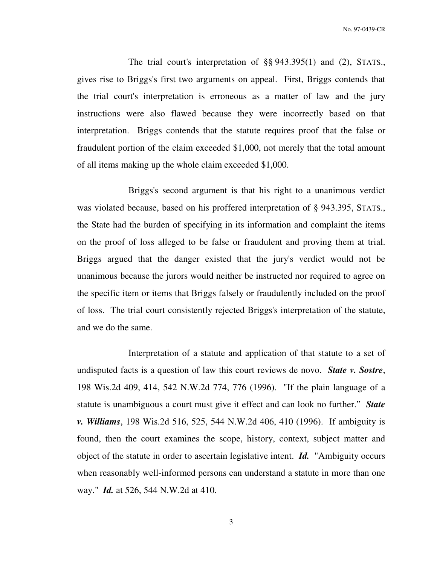The trial court's interpretation of §§ 943.395(1) and (2), STATS., gives rise to Briggs's first two arguments on appeal. First, Briggs contends that the trial court's interpretation is erroneous as a matter of law and the jury instructions were also flawed because they were incorrectly based on that interpretation. Briggs contends that the statute requires proof that the false or fraudulent portion of the claim exceeded \$1,000, not merely that the total amount of all items making up the whole claim exceeded \$1,000.

 Briggs's second argument is that his right to a unanimous verdict was violated because, based on his proffered interpretation of § 943.395, STATS., the State had the burden of specifying in its information and complaint the items on the proof of loss alleged to be false or fraudulent and proving them at trial. Briggs argued that the danger existed that the jury's verdict would not be unanimous because the jurors would neither be instructed nor required to agree on the specific item or items that Briggs falsely or fraudulently included on the proof of loss. The trial court consistently rejected Briggs's interpretation of the statute, and we do the same.

 Interpretation of a statute and application of that statute to a set of undisputed facts is a question of law this court reviews de novo. *State v. Sostre*, 198 Wis.2d 409, 414, 542 N.W.2d 774, 776 (1996). "If the plain language of a statute is unambiguous a court must give it effect and can look no further." *State v. Williams*, 198 Wis.2d 516, 525, 544 N.W.2d 406, 410 (1996). If ambiguity is found, then the court examines the scope, history, context, subject matter and object of the statute in order to ascertain legislative intent. *Id.* "Ambiguity occurs when reasonably well-informed persons can understand a statute in more than one way." *Id.* at 526, 544 N.W.2d at 410.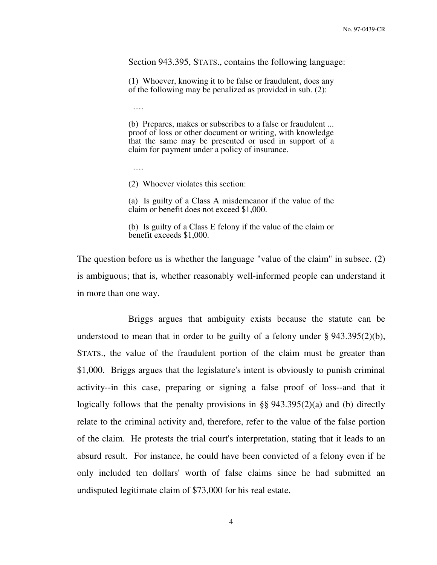Section 943.395, STATS., contains the following language:

(1) Whoever, knowing it to be false or fraudulent, does any of the following may be penalized as provided in sub. (2):

….

(b) Prepares, makes or subscribes to a false or fraudulent ... proof of loss or other document or writing, with knowledge that the same may be presented or used in support of a claim for payment under a policy of insurance.

….

(2) Whoever violates this section:

(a) Is guilty of a Class A misdemeanor if the value of the claim or benefit does not exceed \$1,000.

(b) Is guilty of a Class E felony if the value of the claim or benefit exceeds \$1,000.

The question before us is whether the language "value of the claim" in subsec. (2) is ambiguous; that is, whether reasonably well-informed people can understand it in more than one way.

 Briggs argues that ambiguity exists because the statute can be understood to mean that in order to be guilty of a felony under  $\S 943.395(2)(b)$ , STATS., the value of the fraudulent portion of the claim must be greater than \$1,000. Briggs argues that the legislature's intent is obviously to punish criminal activity--in this case, preparing or signing a false proof of loss--and that it logically follows that the penalty provisions in §§ 943.395(2)(a) and (b) directly relate to the criminal activity and, therefore, refer to the value of the false portion of the claim. He protests the trial court's interpretation, stating that it leads to an absurd result. For instance, he could have been convicted of a felony even if he only included ten dollars' worth of false claims since he had submitted an undisputed legitimate claim of \$73,000 for his real estate.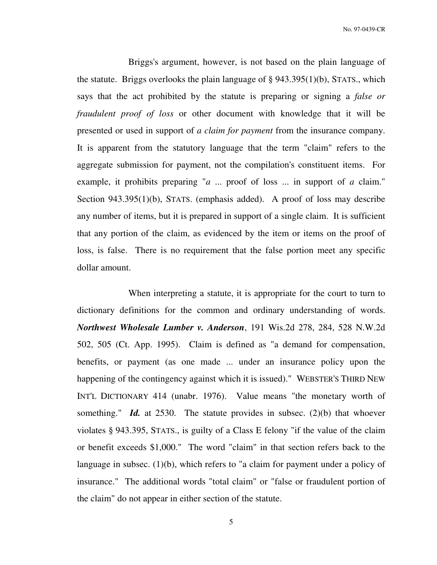Briggs's argument, however, is not based on the plain language of the statute. Briggs overlooks the plain language of  $\S$  943.395(1)(b), STATS., which says that the act prohibited by the statute is preparing or signing a *false or fraudulent proof of loss* or other document with knowledge that it will be presented or used in support of *a claim for payment* from the insurance company. It is apparent from the statutory language that the term "claim" refers to the aggregate submission for payment, not the compilation's constituent items. For example, it prohibits preparing "*a* ... proof of loss ... in support of *a* claim." Section 943.395(1)(b), STATS. (emphasis added). A proof of loss may describe any number of items, but it is prepared in support of a single claim. It is sufficient that any portion of the claim, as evidenced by the item or items on the proof of loss, is false. There is no requirement that the false portion meet any specific dollar amount.

 When interpreting a statute, it is appropriate for the court to turn to dictionary definitions for the common and ordinary understanding of words. *Northwest Wholesale Lumber v. Anderson*, 191 Wis.2d 278, 284, 528 N.W.2d 502, 505 (Ct. App. 1995). Claim is defined as "a demand for compensation, benefits, or payment (as one made ... under an insurance policy upon the happening of the contingency against which it is issued)." WEBSTER'S THIRD NEW INT'L DICTIONARY 414 (unabr. 1976). Value means "the monetary worth of something." *Id.* at 2530. The statute provides in subsec. (2)(b) that whoever violates § 943.395, STATS., is guilty of a Class E felony "if the value of the claim or benefit exceeds \$1,000." The word "claim" in that section refers back to the language in subsec. (1)(b), which refers to "a claim for payment under a policy of insurance." The additional words "total claim" or "false or fraudulent portion of the claim" do not appear in either section of the statute.

5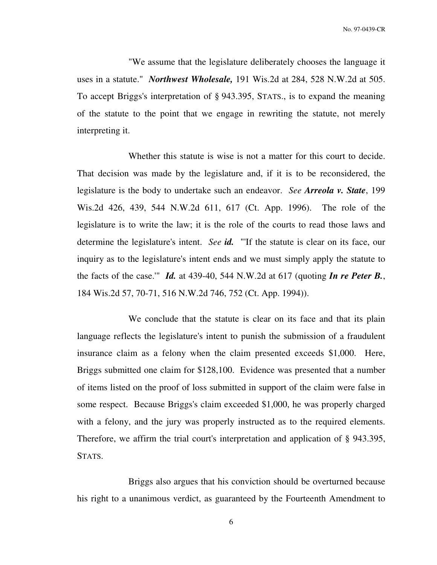"We assume that the legislature deliberately chooses the language it uses in a statute." *Northwest Wholesale,* 191 Wis.2d at 284, 528 N.W.2d at 505. To accept Briggs's interpretation of § 943.395, STATS., is to expand the meaning of the statute to the point that we engage in rewriting the statute, not merely interpreting it.

 Whether this statute is wise is not a matter for this court to decide. That decision was made by the legislature and, if it is to be reconsidered, the legislature is the body to undertake such an endeavor. *See Arreola v. State*, 199 Wis.2d 426, 439, 544 N.W.2d 611, 617 (Ct. App. 1996). The role of the legislature is to write the law; it is the role of the courts to read those laws and determine the legislature's intent. *See id.* "'If the statute is clear on its face, our inquiry as to the legislature's intent ends and we must simply apply the statute to the facts of the case.'" *Id.* at 439-40, 544 N.W.2d at 617 (quoting *In re Peter B.*, 184 Wis.2d 57, 70-71, 516 N.W.2d 746, 752 (Ct. App. 1994)).

 We conclude that the statute is clear on its face and that its plain language reflects the legislature's intent to punish the submission of a fraudulent insurance claim as a felony when the claim presented exceeds \$1,000. Here, Briggs submitted one claim for \$128,100. Evidence was presented that a number of items listed on the proof of loss submitted in support of the claim were false in some respect. Because Briggs's claim exceeded \$1,000, he was properly charged with a felony, and the jury was properly instructed as to the required elements. Therefore, we affirm the trial court's interpretation and application of § 943.395, STATS.

 Briggs also argues that his conviction should be overturned because his right to a unanimous verdict, as guaranteed by the Fourteenth Amendment to

6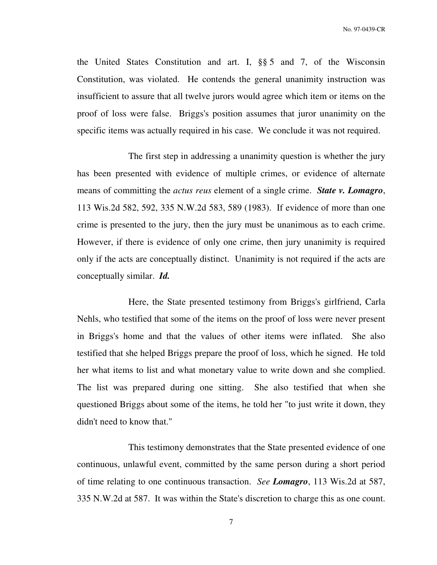the United States Constitution and art. I, §§ 5 and 7, of the Wisconsin Constitution, was violated. He contends the general unanimity instruction was insufficient to assure that all twelve jurors would agree which item or items on the proof of loss were false. Briggs's position assumes that juror unanimity on the specific items was actually required in his case. We conclude it was not required.

 The first step in addressing a unanimity question is whether the jury has been presented with evidence of multiple crimes, or evidence of alternate means of committing the *actus reus* element of a single crime. *State v. Lomagro*, 113 Wis.2d 582, 592, 335 N.W.2d 583, 589 (1983). If evidence of more than one crime is presented to the jury, then the jury must be unanimous as to each crime. However, if there is evidence of only one crime, then jury unanimity is required only if the acts are conceptually distinct. Unanimity is not required if the acts are conceptually similar. *Id.*

 Here, the State presented testimony from Briggs's girlfriend, Carla Nehls, who testified that some of the items on the proof of loss were never present in Briggs's home and that the values of other items were inflated. She also testified that she helped Briggs prepare the proof of loss, which he signed. He told her what items to list and what monetary value to write down and she complied. The list was prepared during one sitting. She also testified that when she questioned Briggs about some of the items, he told her "to just write it down, they didn't need to know that."

 This testimony demonstrates that the State presented evidence of one continuous, unlawful event, committed by the same person during a short period of time relating to one continuous transaction. *See Lomagro*, 113 Wis.2d at 587, 335 N.W.2d at 587. It was within the State's discretion to charge this as one count.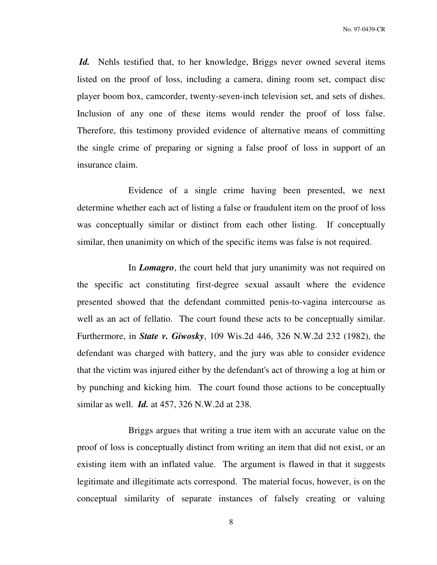*Id.* Nehls testified that, to her knowledge, Briggs never owned several items listed on the proof of loss, including a camera, dining room set, compact disc player boom box, camcorder, twenty-seven-inch television set, and sets of dishes. Inclusion of any one of these items would render the proof of loss false. Therefore, this testimony provided evidence of alternative means of committing the single crime of preparing or signing a false proof of loss in support of an insurance claim.

 Evidence of a single crime having been presented, we next determine whether each act of listing a false or fraudulent item on the proof of loss was conceptually similar or distinct from each other listing. If conceptually similar, then unanimity on which of the specific items was false is not required.

 In *Lomagro*, the court held that jury unanimity was not required on the specific act constituting first-degree sexual assault where the evidence presented showed that the defendant committed penis-to-vagina intercourse as well as an act of fellatio. The court found these acts to be conceptually similar. Furthermore, in *State v. Giwosky*, 109 Wis.2d 446, 326 N.W.2d 232 (1982), the defendant was charged with battery, and the jury was able to consider evidence that the victim was injured either by the defendant's act of throwing a log at him or by punching and kicking him. The court found those actions to be conceptually similar as well. *Id.* at 457, 326 N.W.2d at 238.

 Briggs argues that writing a true item with an accurate value on the proof of loss is conceptually distinct from writing an item that did not exist, or an existing item with an inflated value. The argument is flawed in that it suggests legitimate and illegitimate acts correspond. The material focus, however, is on the conceptual similarity of separate instances of falsely creating or valuing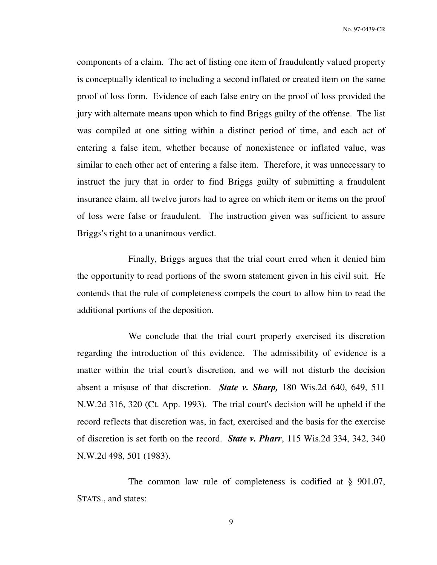components of a claim. The act of listing one item of fraudulently valued property is conceptually identical to including a second inflated or created item on the same proof of loss form. Evidence of each false entry on the proof of loss provided the jury with alternate means upon which to find Briggs guilty of the offense. The list was compiled at one sitting within a distinct period of time, and each act of entering a false item, whether because of nonexistence or inflated value, was similar to each other act of entering a false item. Therefore, it was unnecessary to instruct the jury that in order to find Briggs guilty of submitting a fraudulent insurance claim, all twelve jurors had to agree on which item or items on the proof of loss were false or fraudulent. The instruction given was sufficient to assure Briggs's right to a unanimous verdict.

 Finally, Briggs argues that the trial court erred when it denied him the opportunity to read portions of the sworn statement given in his civil suit. He contends that the rule of completeness compels the court to allow him to read the additional portions of the deposition.

 We conclude that the trial court properly exercised its discretion regarding the introduction of this evidence. The admissibility of evidence is a matter within the trial court's discretion, and we will not disturb the decision absent a misuse of that discretion. *State v. Sharp,* 180 Wis.2d 640, 649, 511 N.W.2d 316, 320 (Ct. App. 1993). The trial court's decision will be upheld if the record reflects that discretion was, in fact, exercised and the basis for the exercise of discretion is set forth on the record. *State v. Pharr*, 115 Wis.2d 334, 342, 340 N.W.2d 498, 501 (1983).

The common law rule of completeness is codified at § 901.07, STATS., and states:

9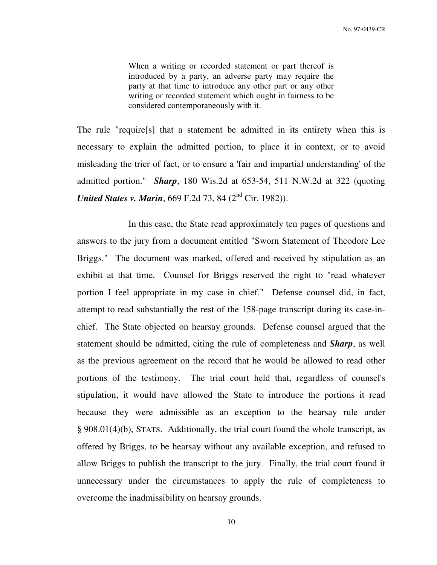When a writing or recorded statement or part thereof is introduced by a party, an adverse party may require the party at that time to introduce any other part or any other writing or recorded statement which ought in fairness to be considered contemporaneously with it.

The rule "require[s] that a statement be admitted in its entirety when this is necessary to explain the admitted portion, to place it in context, or to avoid misleading the trier of fact, or to ensure a 'fair and impartial understanding' of the admitted portion." *Sharp*, 180 Wis.2d at 653-54, 511 N.W.2d at 322 (quoting *United States v. Marin*, 669 F.2d 73, 84 (2<sup>nd</sup> Cir. 1982)).

 In this case, the State read approximately ten pages of questions and answers to the jury from a document entitled "Sworn Statement of Theodore Lee Briggs." The document was marked, offered and received by stipulation as an exhibit at that time. Counsel for Briggs reserved the right to "read whatever portion I feel appropriate in my case in chief." Defense counsel did, in fact, attempt to read substantially the rest of the 158-page transcript during its case-inchief. The State objected on hearsay grounds. Defense counsel argued that the statement should be admitted, citing the rule of completeness and *Sharp*, as well as the previous agreement on the record that he would be allowed to read other portions of the testimony. The trial court held that, regardless of counsel's stipulation, it would have allowed the State to introduce the portions it read because they were admissible as an exception to the hearsay rule under § 908.01(4)(b), STATS. Additionally, the trial court found the whole transcript, as offered by Briggs, to be hearsay without any available exception, and refused to allow Briggs to publish the transcript to the jury. Finally, the trial court found it unnecessary under the circumstances to apply the rule of completeness to overcome the inadmissibility on hearsay grounds.